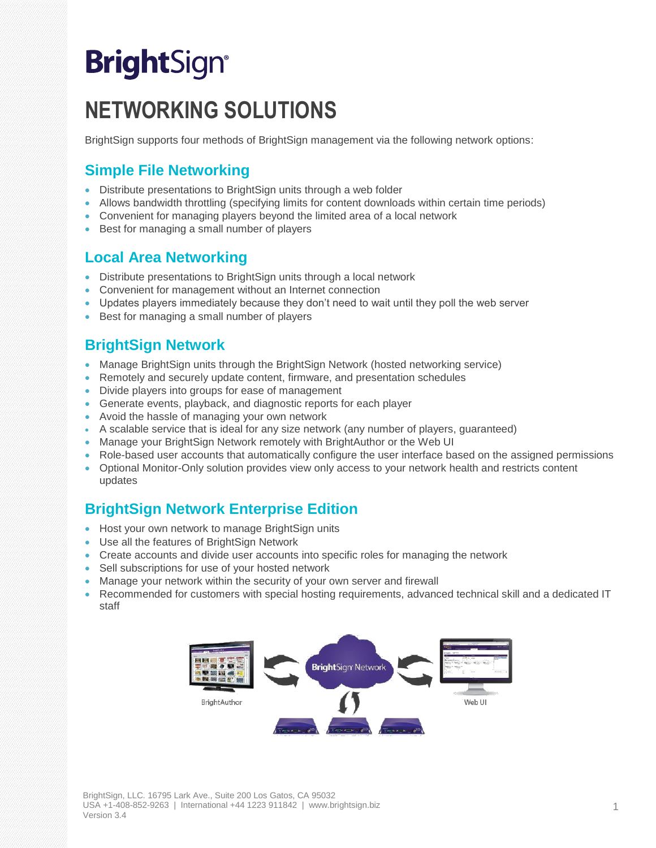# **BrightSign®**

## **NETWORKING SOLUTIONS**

BrightSign supports four methods of BrightSign management via the following network options:

#### **Simple File Networking**

- Distribute presentations to BrightSign units through a web folder
- Allows bandwidth throttling (specifying limits for content downloads within certain time periods)
- Convenient for managing players beyond the limited area of a local network
- Best for managing a small number of players

#### **Local Area Networking**

- Distribute presentations to BrightSign units through a local network
- Convenient for management without an Internet connection
- Updates players immediately because they don't need to wait until they poll the web server
- Best for managing a small number of players

#### **BrightSign Network**

- Manage BrightSign units through the BrightSign Network (hosted networking service)
- Remotely and securely update content, firmware, and presentation schedules
- Divide players into groups for ease of management
- Generate events, playback, and diagnostic reports for each player
- Avoid the hassle of managing your own network
- A scalable service that is ideal for any size network (any number of players, guaranteed)
- Manage your BrightSign Network remotely with BrightAuthor or the Web UI
- Role-based user accounts that automatically configure the user interface based on the assigned permissions
- Optional Monitor-Only solution provides view only access to your network health and restricts content updates

#### **BrightSign Network Enterprise Edition**

- Host your own network to manage BrightSign units
- Use all the features of BrightSign Network
- Create accounts and divide user accounts into specific roles for managing the network
- Sell subscriptions for use of your hosted network
- Manage your network within the security of your own server and firewall
- Recommended for customers with special hosting requirements, advanced technical skill and a dedicated IT staff